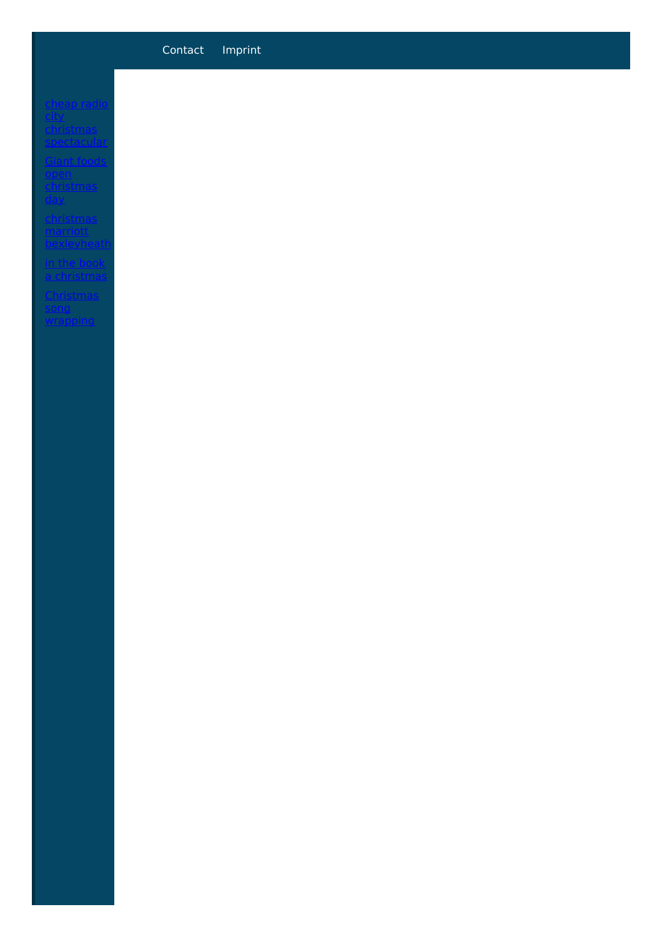## Contact Imprint

[bexleyheath](http://foto-ms.pl/detail/news/543795/chrismas/)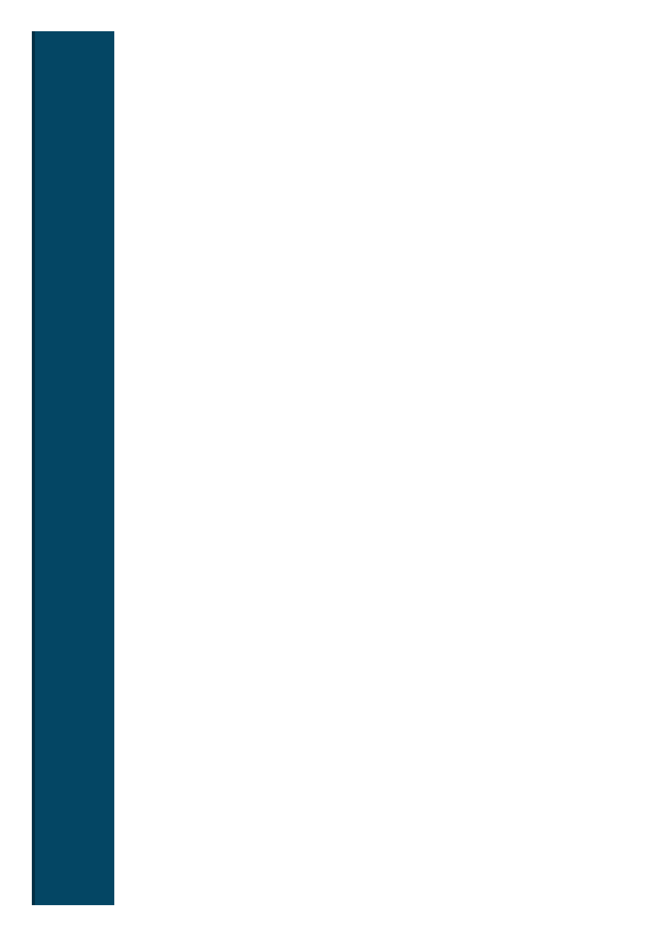